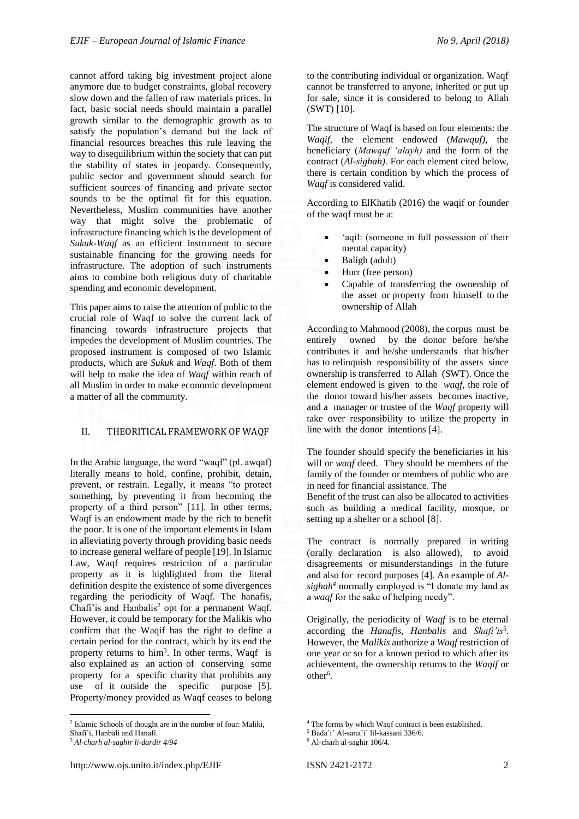cannot afford taking big investment project alone anymore due to budget constraints, global recovery slow down and the fallen of raw materials prices. In fact, basic social needs should maintain a parallel growth similar to the demographic growth as to satisfy the population's demand but the lack of financial resources breaches this rule leaving the way to disequilibrium within the society that can put the stability of states in jeopardy. Consequently, public sector and government should search for sufficient sources of financing and private sector sounds to be the optimal fit for this equation. Nevertheless, Muslim communities have another way that might solve the problematic of infrastructure financing which is the development of *Sukuk-Waqf* as an efficient instrument to secure sustainable financing for the growing needs for infrastructure. The adoption of such instruments aims to combine both religious duty of charitable spending and economic development.

This paper aims to raise the attention of public to the crucial role of Waqf to solve the current lack of financing towards infrastructure projects that impedes the development of Muslim countries. The proposed instrument is composed of two Islamic products, which are *Sukuk* and *Waqf*. Both of them will help to make the idea of *Waqf* within reach of all Muslim in order to make economic development a matter of all the community.

# II. THEORITICAL FRAMEWORK OF WAQF

In the Arabic language, the word "waqf" (pl. awqaf) literally means to hold, confine, prohibit, detain, prevent, or restrain. Legally, it means "to protect something, by preventing it from becoming the property of a third person" [11]. In other terms, Waqf is an endowment made by the rich to benefit the poor. It is one of the important elements in Islam in alleviating poverty through providing basic needs to increase general welfare of people [19]. In Islamic Law, Waqf requires restriction of a particular property as it is highlighted from the literal definition despite the existence of some divergences regarding the periodicity of Waqf. The hanafis, Chafi'is and Hanbalis<sup>2</sup> opt for a permanent Waqf. However, it could be temporary for the Malikis who confirm that the Waqif has the right to define a certain period for the contract, which by its end the property returns to  $\text{him}^3$ . In other terms, Waqf is also explained as an action of conserving some property for a specific charity that prohibits any use of it outside the specific purpose [5]. Property/money provided as Waqf ceases to belong

1

to the contributing individual or organization. Waqf cannot be transferred to anyone, inherited or put up for sale, since it is considered to belong to Allah (SWT) [10].

The structure of Waqf is based on four elements: the *Waqif,* the element endowed (*Mawquf),* the beneficiary (*Mawquf 'alayh)* and the form of the contract (*Al-sighah).* For each element cited below, there is certain condition by which the process of *Waqf* is considered valid.

According to ElKhatib (2016) the waqif or founder of the waqf must be a:

- 'aqil: (someone in full possession of their mental capacity)
- Baligh (adult)
- Hurr (free person)
- Capable of transferring the ownership of the asset or property from himself to the ownership of Allah

According to Mahmood (2008), the corpus must be entirely owned by the donor before he/she contributes it and he/she understands that his/her has to relinquish responsibility of the assets since ownership is transferred to Allah (SWT). Once the element endowed is given to the *waqf*, the role of the donor toward his/her assets becomes inactive, and a manager or trustee of the *Waqf* property will take over responsibility to utilize the property in line with the donor intentions [4].

The founder should specify the beneficiaries in his will or *waqf* deed. They should be members of the family of the founder or members of public who are in need for financial assistance. The

Benefit of the trust can also be allocated to activities such as building a medical facility, mosque, or setting up a shelter or a school [8].

The contract is normally prepared in writing (orally declaration is also allowed), to avoid disagreements or misunderstandings in the future and also for record purposes [4]. An example of *Alsighah<sup>4</sup>* normally employed is "I donate my land as a *waqf* for the sake of helping needy".

Originally, the periodicity of *Waqf* is to be eternal according the *Hanafis, Hanbalis* and *Shafi'is*<sup>5</sup> . However, the *Malikis* authorize a *Waqf* restriction of one year or so for a known period to which after its achievement, the ownership returns to the *Waqif* or other<sup>6</sup>.

<sup>2</sup> Islamic Schools of thought are in the number of four: Maliki,

Shafi'i, Hanbali and Hanafi.

<sup>3</sup> *Al-charh al-saghir li-dardir 4/94*

<sup>4</sup> The forms by which Waqf contract is been established.

<sup>5</sup> Bada'i' Al-sana'i' lil-kassani 336/6. <sup>6</sup> Al-charh al-saghir 106/4.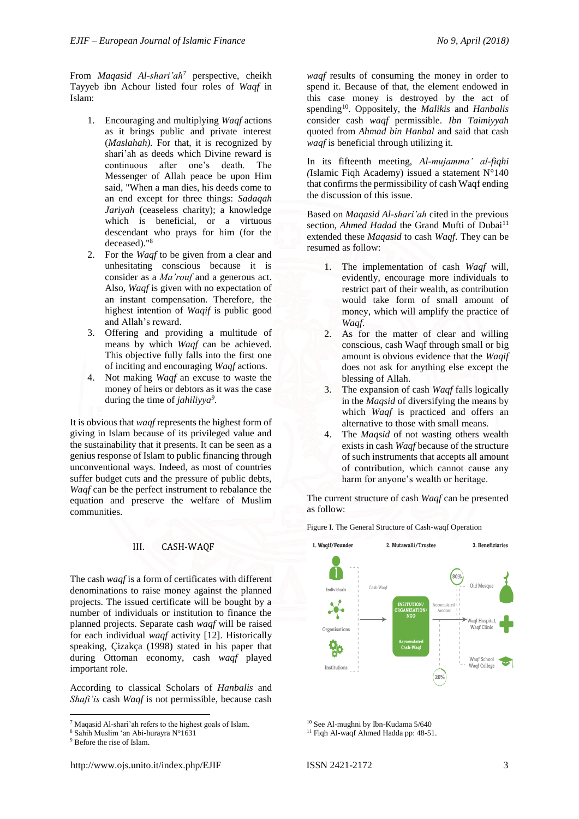From *Maqasid Al-shari'ah<sup>7</sup>* perspective, cheikh Tayyeb ibn Achour listed four roles of *Waqf* in Islam:

- 1. Encouraging and multiplying *Waqf* actions as it brings public and private interest (*Maslahah).* For that, it is recognized by shari'ah as deeds which Divine reward is continuous after one's death. The Messenger of Allah peace be upon Him said, "When a man dies, his deeds come to an end except for three things: *Sadaqah Jariyah* (ceaseless charity); a knowledge which is beneficial, or a virtuous descendant who prays for him (for the deceased)."<sup>8</sup>
- 2. For the *Waqf* to be given from a clear and unhesitating conscious because it is consider as a *Ma'rouf* and a generous act. Also, *Waqf* is given with no expectation of an instant compensation. Therefore, the highest intention of *Waqif* is public good and Allah's reward.
- 3. Offering and providing a multitude of means by which *Waqf* can be achieved. This objective fully falls into the first one of inciting and encouraging *Waqf* actions.
- 4. Not making *Waqf* an excuse to waste the money of heirs or debtors as it was the case during the time of *jahiliyya<sup>9</sup> .*

It is obvious that *waqf* represents the highest form of giving in Islam because of its privileged value and the sustainability that it presents. It can be seen as a genius response of Islam to public financing through unconventional ways. Indeed, as most of countries suffer budget cuts and the pressure of public debts, *Waqf* can be the perfect instrument to rebalance the equation and preserve the welfare of Muslim communities.

#### III. CASH-WAQF

The cash *waqf* is a form of certificates with different denominations to raise money against the planned projects. The issued certificate will be bought by a number of individuals or institution to finance the planned projects. Separate cash *waqf* will be raised for each individual *waqf* activity [12]. Historically speaking, Çizakça (1998) stated in his paper that during Ottoman economy, cash *waqf* played important role.

According to classical Scholars of *Hanbalis* and *Shafi'is* cash *Waqf* is not permissible, because cash

1

*waqf* results of consuming the money in order to spend it. Because of that, the element endowed in this case money is destroyed by the act of spending<sup>10</sup>. Oppositely, the *Malikis* and *Hanbalis* consider cash *waqf* permissible. *Ibn Taimiyyah* quoted from *Ahmad bin Hanbal* and said that cash *waqf* is beneficial through utilizing it.

In its fifteenth meeting, *Al-mujamma' al-fiqhi (*Islamic Fiqh Academy) issued a statement N°140 that confirms the permissibility of cash Waqf ending the discussion of this issue.

Based on *Maqasid Al-shari'ah* cited in the previous section, *Ahmed Hadad* the Grand Mufti of Dubai<sup>11</sup> extended these *Maqasid* to cash *Waqf*. They can be resumed as follow:

- 1. The implementation of cash *Waqf* will, evidently, encourage more individuals to restrict part of their wealth, as contribution would take form of small amount of money, which will amplify the practice of *Waqf*.
- 2. As for the matter of clear and willing conscious, cash Waqf through small or big amount is obvious evidence that the *Waqif* does not ask for anything else except the blessing of Allah.
- 3. The expansion of cash *Waqf* falls logically in the *Maqsid* of diversifying the means by which *Waqf* is practiced and offers an alternative to those with small means.
- 4. The *Maqsid* of not wasting others wealth exists in cash *Waqf* because of the structure of such instruments that accepts all amount of contribution, which cannot cause any harm for anyone's wealth or heritage.

The current structure of cash *Waqf* can be presented as follow:

Figure I. The General Structure of Cash-waqf Operation



<sup>10</sup> See Al-mughni by Ibn-Kudama 5/640

<sup>11</sup> Fiqh Al-waqf Ahmed Hadda pp: 48-51.

<sup>7</sup> Maqasid Al-shari'ah refers to the highest goals of Islam.

<sup>8</sup> Sahih Muslim 'an Abi-hurayra N°1631

<sup>&</sup>lt;sup>9</sup> Before the rise of Islam.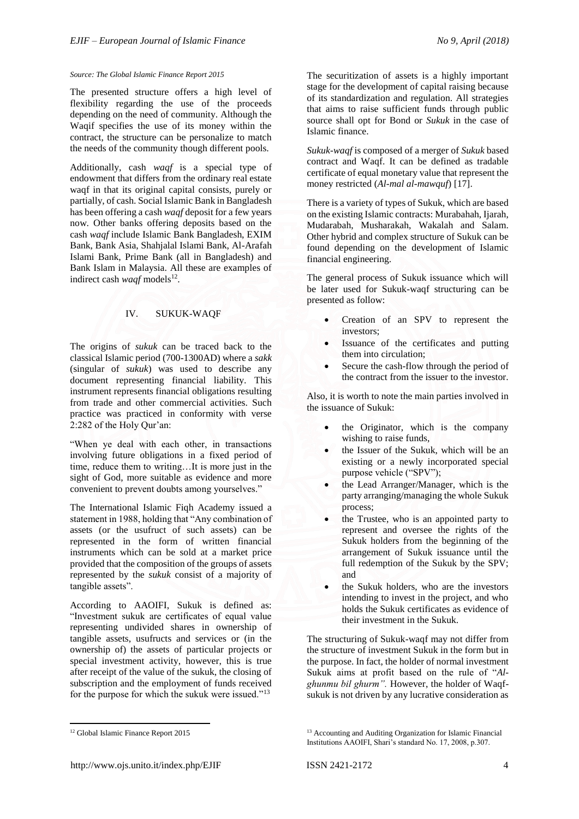## *Source: The Global Islamic Finance Report 2015*

The presented structure offers a high level of flexibility regarding the use of the proceeds depending on the need of community. Although the Waqif specifies the use of its money within the contract, the structure can be personalize to match the needs of the community though different pools.

Additionally, cash *waqf* is a special type of endowment that differs from the ordinary real estate waqf in that its original capital consists, purely or partially, of cash. Social Islamic Bank in Bangladesh has been offering a cash *waqf* deposit for a few years now. Other banks offering deposits based on the cash *waqf* include Islamic Bank Bangladesh, EXIM Bank, Bank Asia, Shahjalal Islami Bank, Al-Arafah Islami Bank, Prime Bank (all in Bangladesh) and Bank Islam in Malaysia. All these are examples of indirect cash *waqf* models<sup>12</sup>.

# IV. SUKUK-WAQF

The origins of *sukuk* can be traced back to the classical Islamic period (700-1300AD) where a *sakk* (singular of *sukuk*) was used to describe any document representing financial liability. This instrument represents financial obligations resulting from trade and other commercial activities. Such practice was practiced in conformity with verse 2:282 of the Holy Qur'an:

"When ye deal with each other, in transactions involving future obligations in a fixed period of time, reduce them to writing…It is more just in the sight of God, more suitable as evidence and more convenient to prevent doubts among yourselves."

The International Islamic Fiqh Academy issued a statement in 1988, holding that "Any combination of assets (or the usufruct of such assets) can be represented in the form of written financial instruments which can be sold at a market price provided that the composition of the groups of assets represented by the *sukuk* consist of a majority of tangible assets".

According to AAOIFI, Sukuk is defined as: "Investment sukuk are certificates of equal value representing undivided shares in ownership of tangible assets, usufructs and services or (in the ownership of) the assets of particular projects or special investment activity, however, this is true after receipt of the value of the sukuk, the closing of subscription and the employment of funds received for the purpose for which the sukuk were issued."<sup>13</sup>

The securitization of assets is a highly important stage for the development of capital raising because of its standardization and regulation. All strategies that aims to raise sufficient funds through public source shall opt for Bond or *Sukuk* in the case of Islamic finance.

*Sukuk-waqf* is composed of a merger of *Sukuk* based contract and Waqf. It can be defined as tradable certificate of equal monetary value that represent the money restricted (*Al-mal al-mawquf*) [17].

There is a variety of types of Sukuk, which are based on the existing Islamic contracts: Murabahah, Ijarah, Mudarabah, Musharakah, Wakalah and Salam. Other hybrid and complex structure of Sukuk can be found depending on the development of Islamic financial engineering.

The general process of Sukuk issuance which will be later used for Sukuk-waqf structuring can be presented as follow:

- Creation of an SPV to represent the investors;
- Issuance of the certificates and putting them into circulation;
- Secure the cash-flow through the period of the contract from the issuer to the investor.

Also, it is worth to note the main parties involved in the issuance of Sukuk:

- the Originator, which is the company wishing to raise funds,
- the Issuer of the Sukuk, which will be an existing or a newly incorporated special purpose vehicle ("SPV");
- the Lead Arranger/Manager, which is the party arranging/managing the whole Sukuk process;
- the Trustee, who is an appointed party to represent and oversee the rights of the Sukuk holders from the beginning of the arrangement of Sukuk issuance until the full redemption of the Sukuk by the SPV; and
- the Sukuk holders, who are the investors intending to invest in the project, and who holds the Sukuk certificates as evidence of their investment in the Sukuk.

The structuring of Sukuk-waqf may not differ from the structure of investment Sukuk in the form but in the purpose. In fact, the holder of normal investment Sukuk aims at profit based on the rule of "*Alghunmu bil ghurm".* However, the holder of Waqfsukuk is not driven by any lucrative consideration as

**<sup>.</sup>** <sup>12</sup> Global Islamic Finance Report 2015

<sup>&</sup>lt;sup>13</sup> Accounting and Auditing Organization for Islamic Financial Institutions AAOIFI, Shari's standard No. 17, 2008, p.307.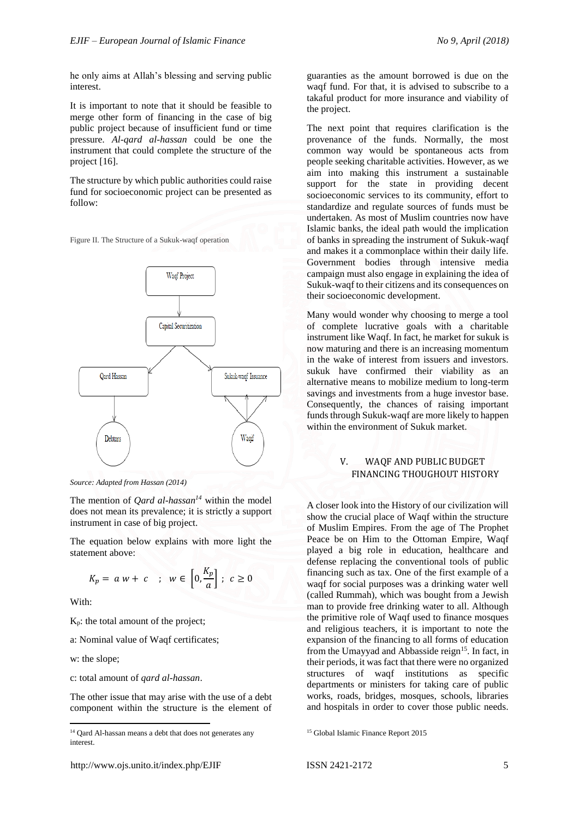he only aims at Allah's blessing and serving public interest.

It is important to note that it should be feasible to merge other form of financing in the case of big public project because of insufficient fund or time pressure. *Al-qard al-hassan* could be one the instrument that could complete the structure of the project [16].

The structure by which public authorities could raise fund for socioeconomic project can be presented as follow:

Figure II. The Structure of a Sukuk-waqf operation



*Source: Adapted from Hassan (2014)*

The mention of *Qard al-hassan<sup>14</sup>* within the model does not mean its prevalence; it is strictly a support instrument in case of big project.

The equation below explains with more light the statement above:

$$
K_p = a w + c \quad ; \quad w \in \left[0, \frac{K_p}{a}\right] \; ; \; c \ge 0
$$

With:

**.** 

Kp: the total amount of the project;

a: Nominal value of Waqf certificates;

w: the slope;

c: total amount of *qard al-hassan*.

The other issue that may arise with the use of a debt component within the structure is the element of waqf fund. For that, it is advised to subscribe to a takaful product for more insurance and viability of the project. The next point that requires clarification is the

guaranties as the amount borrowed is due on the

provenance of the funds. Normally, the most common way would be spontaneous acts from people seeking charitable activities. However, as we aim into making this instrument a sustainable support for the state in providing decent socioeconomic services to its community, effort to standardize and regulate sources of funds must be undertaken. As most of Muslim countries now have Islamic banks, the ideal path would the implication of banks in spreading the instrument of Sukuk-waqf and makes it a commonplace within their daily life. Government bodies through intensive media campaign must also engage in explaining the idea of Sukuk-waqf to their citizens and its consequences on their socioeconomic development.

Many would wonder why choosing to merge a tool of complete lucrative goals with a charitable instrument like Waqf. In fact, he market for sukuk is now maturing and there is an increasing momentum in the wake of interest from issuers and investors. sukuk have confirmed their viability as an alternative means to mobilize medium to long-term savings and investments from a huge investor base. Consequently, the chances of raising important funds through Sukuk-waqf are more likely to happen within the environment of Sukuk market.

# V. WAQF AND PUBLIC BUDGET FINANCING THOUGHOUT HISTORY

A closer look into the History of our civilization will show the crucial place of Waqf within the structure of Muslim Empires. From the age of The Prophet Peace be on Him to the Ottoman Empire, Waqf played a big role in education, healthcare and defense replacing the conventional tools of public financing such as tax. One of the first example of a waqf for social purposes was a drinking water well (called Rummah), which was bought from a Jewish man to provide free drinking water to all. Although the primitive role of Waqf used to finance mosques and religious teachers, it is important to note the expansion of the financing to all forms of education from the Umayyad and Abbasside reign<sup>15</sup>. In fact, in their periods, it was fact that there were no organized structures of waqf institutions as specific departments or ministers for taking care of public works, roads, bridges, mosques, schools, libraries and hospitals in order to cover those public needs.

<sup>&</sup>lt;sup>14</sup> Qard Al-hassan means a debt that does not generates any interest.

<sup>&</sup>lt;sup>15</sup> Global Islamic Finance Report 2015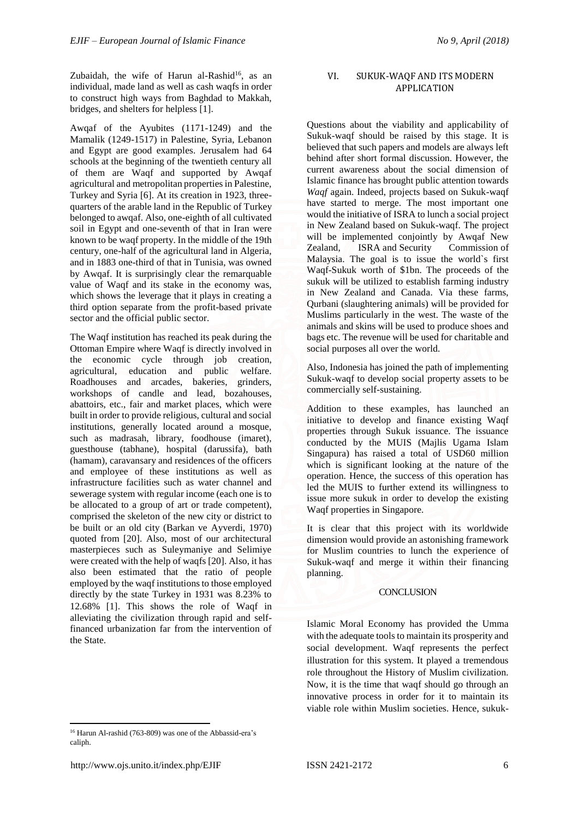Zubaidah, the wife of Harun al-Rashid<sup>16</sup>, as an individual, made land as well as cash waqfs in order to construct high ways from Baghdad to Makkah, bridges, and shelters for helpless [1].

Awqaf of the Ayubites (1171-1249) and the Mamalik (1249-1517) in Palestine, Syria, Lebanon and Egypt are good examples. Jerusalem had 64 schools at the beginning of the twentieth century all of them are Waqf and supported by Awqaf agricultural and metropolitan properties in Palestine, Turkey and Syria [6]. At its creation in 1923, threequarters of the arable land in the Republic of Turkey belonged to awqaf. Also, one-eighth of all cultivated soil in Egypt and one-seventh of that in Iran were known to be waqf property. In the middle of the 19th century, one-half of the agricultural land in Algeria, and in 1883 one-third of that in Tunisia, was owned by Awqaf. It is surprisingly clear the remarquable value of Waqf and its stake in the economy was, which shows the leverage that it plays in creating a third option separate from the profit-based private sector and the official public sector.

The Waqf institution has reached its peak during the Ottoman Empire where Waqf is directly involved in the economic cycle through job creation, agricultural, education and public welfare. Roadhouses and arcades, bakeries, grinders, workshops of candle and lead, bozahouses, abattoirs, etc., fair and market places, which were built in order to provide religious, cultural and social institutions, generally located around a mosque, such as madrasah, library, foodhouse (imaret), guesthouse (tabhane), hospital (darussifa), bath (hamam), caravansary and residences of the officers and employee of these institutions as well as infrastructure facilities such as water channel and sewerage system with regular income (each one is to be allocated to a group of art or trade competent), comprised the skeleton of the new city or district to be built or an old city (Barkan ve Ayverdi, 1970) quoted from [20]. Also, most of our architectural masterpieces such as Suleymaniye and Selimiye were created with the help of waqfs [20]. Also, it has also been estimated that the ratio of people employed by the waqf institutions to those employed directly by the state Turkey in 1931 was 8.23% to 12.68% [1]. This shows the role of Waqf in alleviating the civilization through rapid and selffinanced urbanization far from the intervention of the State.

**.** <sup>16</sup> Harun Al-rashid (763-809) was one of the Abbassid-era's caliph.

Questions about the viability and applicability of Sukuk-waqf should be raised by this stage. It is believed that such papers and models are always left behind after short formal discussion. However, the current awareness about the social dimension of Islamic finance has brought public attention towards *Waqf* again. Indeed, projects based on Sukuk-waqf have started to merge. The most important one would the initiative of ISRA to lunch a social project in New Zealand based on Sukuk-waqf. The project will be implemented conjointly by Awqaf New Zealand, [ISRA](http://www.isra.my/) and [Security Commission](http://www.sc.com.my/) of Malaysia. The goal is to issue the world`s first Waqf-Sukuk worth of \$1bn. The proceeds of the sukuk will be utilized to establish farming industry in New Zealand and Canada. Via these farms, Qurbani (slaughtering animals) will be provided for Muslims particularly in the west. The waste of the animals and skins will be used to produce shoes and bags etc. The revenue will be used for charitable and social purposes all over the world.

Also, Indonesia has joined the path of implementing Sukuk-waqf to develop social property assets to be commercially self-sustaining.

Addition to these examples, has launched an initiative to develop and finance existing Waqf properties through Sukuk issuance. The issuance conducted by the MUIS (Majlis Ugama Islam Singapura) has raised a total of USD60 million which is significant looking at the nature of the operation. Hence, the success of this operation has led the MUIS to further extend its willingness to issue more sukuk in order to develop the existing Waqf properties in Singapore.

It is clear that this project with its worldwide dimension would provide an astonishing framework for Muslim countries to lunch the experience of Sukuk-waqf and merge it within their financing planning.

## **CONCLUSION**

Islamic Moral Economy has provided the Umma with the adequate tools to maintain its prosperity and social development. Waqf represents the perfect illustration for this system. It played a tremendous role throughout the History of Muslim civilization. Now, it is the time that waqf should go through an innovative process in order for it to maintain its viable role within Muslim societies. Hence, sukuk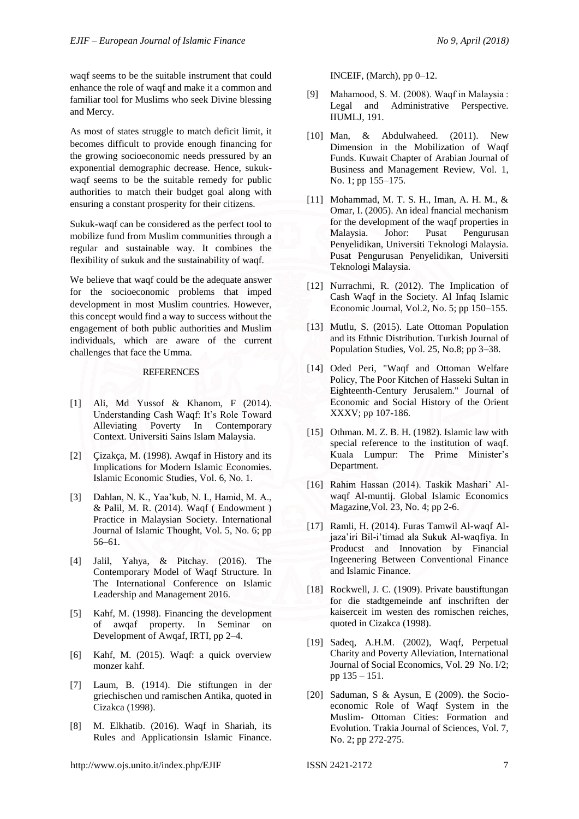waqf seems to be the suitable instrument that could enhance the role of waqf and make it a common and familiar tool for Muslims who seek Divine blessing and Mercy.

As most of states struggle to match deficit limit, it becomes difficult to provide enough financing for the growing socioeconomic needs pressured by an exponential demographic decrease. Hence, sukukwaqf seems to be the suitable remedy for public authorities to match their budget goal along with ensuring a constant prosperity for their citizens.

Sukuk-waqf can be considered as the perfect tool to mobilize fund from Muslim communities through a regular and sustainable way. It combines the flexibility of sukuk and the sustainability of waqf.

We believe that waqf could be the adequate answer for the socioeconomic problems that imped development in most Muslim countries. However, this concept would find a way to success without the engagement of both public authorities and Muslim individuals, which are aware of the current challenges that face the Umma.

#### **REFERENCES**

- [1] Ali, Md Yussof & Khanom, F (2014). Understanding Cash Waqf: It's Role Toward Alleviating Poverty In Contemporary Context. Universiti Sains Islam Malaysia.
- [2] Cizakça, M. (1998). Awaaf in History and its Implications for Modern Islamic Economies. Islamic Economic Studies, Vol. 6, No. 1.
- [3] Dahlan, N. K., Yaa'kub, N. I., Hamid, M. A., & Palil, M. R. (2014). Waqf ( Endowment ) Practice in Malaysian Society. International Journal of Islamic Thought, Vol. 5, No. 6; pp 56–61.
- [4] Jalil, Yahya, & Pitchay. (2016). The Contemporary Model of Waqf Structure. In The International Conference on Islamic Leadership and Management 2016.
- [5] Kahf, M. (1998). Financing the development of awqaf property. In Seminar on Development of Awqaf, IRTI, pp 2–4.
- [6] Kahf, M. (2015). Waqf: a quick overview monzer kahf.
- [7] Laum, B. (1914). Die stiftungen in der griechischen und ramischen Antika, quoted in Cizakca (1998).
- [8] M. Elkhatib. (2016). Waqf in Shariah, its Rules and Applicationsin Islamic Finance.

INCEIF, (March), pp 0–12.

- [9] Mahamood, S. M. (2008). Waqf in Malaysia : Legal and Administrative Perspective. IIUMLJ, 191.
- [10] Man, & Abdulwaheed. (2011). New Dimension in the Mobilization of Waqf Funds. Kuwait Chapter of Arabian Journal of Business and Management Review, Vol. 1, No. 1; pp 155–175.
- [11] Mohammad, M. T. S. H., Iman, A. H. M., & Omar, I. (2005). An ideal fnancial mechanism for the development of the waqf properties in Malaysia. Johor: Pusat Pengurusan Penyelidikan, Universiti Teknologi Malaysia. Pusat Pengurusan Penyelidikan, Universiti Teknologi Malaysia.
- [12] Nurrachmi, R. (2012). The Implication of Cash Waqf in the Society. Al Infaq Islamic Economic Journal, Vol.2, No. 5; pp 150–155.
- [13] Mutlu, S. (2015). Late Ottoman Population and its Ethnic Distribution. Turkish Journal of Population Studies, Vol. 25, No.8; pp 3–38.
- [14] Oded Peri, "Waqf and Ottoman Welfare Policy, The Poor Kitchen of Hasseki Sultan in Eighteenth-Century Jerusalem." Journal of Economic and Social History of the Orient XXXV; pp 107-186.
- [15] Othman. M. Z. B. H. (1982). Islamic law with special reference to the institution of waqf. Kuala Lumpur: The Prime Minister's Department.
- [16] Rahim Hassan (2014). Taskik Mashari' Alwaqf Al-muntij. Global Islamic Economics Magazine,Vol. 23, No. 4; pp 2-6.
- [17] Ramli, H. (2014). Furas Tamwil Al-waqf Aljaza'iri Bil-i'timad ala Sukuk Al-waqfiya. In Producst and Innovation by Financial Ingeenering Between Conventional Finance and Islamic Finance.
- [18] Rockwell, J. C. (1909). Private baustiftungan for die stadtgemeinde anf inschriften der kaiserceit im westen des romischen reiches, quoted in Cizakca (1998).
- [19] Sadeq, A.H.M. (2002), Waqf, Perpetual Charity and Poverty Alleviation, International Journal of Social Economics, Vol. 29 No. I/2; pp 135 – 151.
- [20] Saduman, S & Aysun, E (2009). the Socioeconomic Role of Waqf System in the Muslim- Ottoman Cities: Formation and Evolution. Trakia Journal of Sciences, Vol. 7, No. 2; pp 272-275.